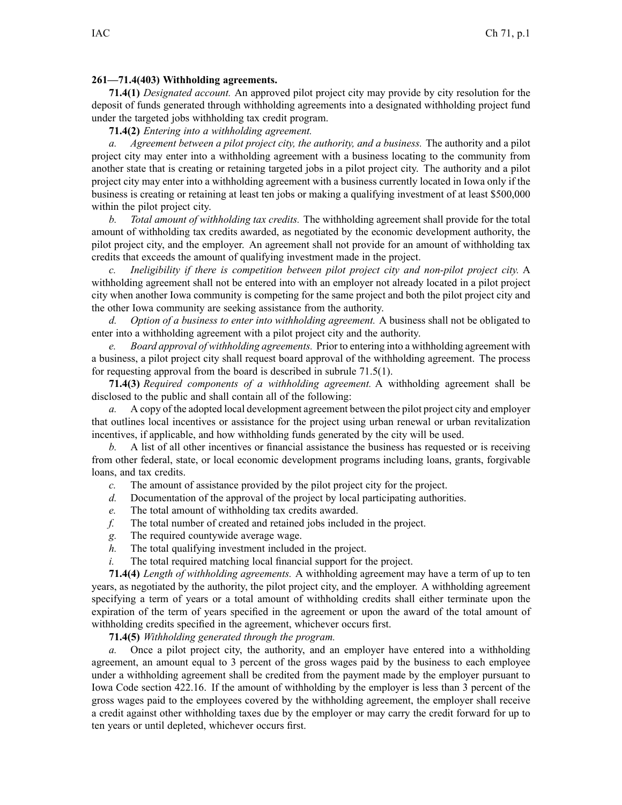## **261—71.4(403) Withholding agreements.**

**71.4(1)** *Designated account.* An approved pilot project city may provide by city resolution for the deposit of funds generated through withholding agreements into <sup>a</sup> designated withholding project fund under the targeted jobs withholding tax credit program.

**71.4(2)** *Entering into <sup>a</sup> withholding agreement.*

*a. Agreement between <sup>a</sup> pilot project city, the authority, and <sup>a</sup> business.* The authority and <sup>a</sup> pilot project city may enter into <sup>a</sup> withholding agreemen<sup>t</sup> with <sup>a</sup> business locating to the community from another state that is creating or retaining targeted jobs in <sup>a</sup> pilot project city. The authority and <sup>a</sup> pilot project city may enter into <sup>a</sup> withholding agreemen<sup>t</sup> with <sup>a</sup> business currently located in Iowa only if the business is creating or retaining at least ten jobs or making <sup>a</sup> qualifying investment of at least \$500,000 within the pilot project city.

*b. Total amount of withholding tax credits.* The withholding agreemen<sup>t</sup> shall provide for the total amount of withholding tax credits awarded, as negotiated by the economic development authority, the pilot project city, and the employer. An agreemen<sup>t</sup> shall not provide for an amount of withholding tax credits that exceeds the amount of qualifying investment made in the project.

*c. Ineligibility if there is competition between pilot project city and non-pilot project city.* A withholding agreemen<sup>t</sup> shall not be entered into with an employer not already located in <sup>a</sup> pilot project city when another Iowa community is competing for the same project and both the pilot project city and the other Iowa community are seeking assistance from the authority.

*d. Option of <sup>a</sup> business to enter into withholding agreement.* A business shall not be obligated to enter into <sup>a</sup> withholding agreemen<sup>t</sup> with <sup>a</sup> pilot project city and the authority.

*e. Board approval of withholding agreements.* Prior to entering into <sup>a</sup> withholding agreemen<sup>t</sup> with <sup>a</sup> business, <sup>a</sup> pilot project city shall reques<sup>t</sup> board approval of the withholding agreement. The process for requesting approval from the board is described in subrule [71.5\(1\)](https://www.legis.iowa.gov/docs/iac/rule/261.71.5.pdf).

**71.4(3)** *Required components of <sup>a</sup> withholding agreement.* A withholding agreemen<sup>t</sup> shall be disclosed to the public and shall contain all of the following:

*a.* A copy of the adopted local development agreemen<sup>t</sup> between the pilot project city and employer that outlines local incentives or assistance for the project using urban renewal or urban revitalization incentives, if applicable, and how withholding funds generated by the city will be used.

*b.* A list of all other incentives or financial assistance the business has requested or is receiving from other federal, state, or local economic development programs including loans, grants, forgivable loans, and tax credits.

- *c.* The amount of assistance provided by the pilot project city for the project.
- *d.* Documentation of the approval of the project by local participating authorities.
- *e.* The total amount of withholding tax credits awarded.
- *f.* The total number of created and retained jobs included in the project.
- *g.* The required countywide average wage.
- *h.* The total qualifying investment included in the project.
- *i.* The total required matching local financial suppor<sup>t</sup> for the project.

**71.4(4)** *Length of withholding agreements.* A withholding agreemen<sup>t</sup> may have <sup>a</sup> term of up to ten years, as negotiated by the authority, the pilot project city, and the employer. A withholding agreemen<sup>t</sup> specifying <sup>a</sup> term of years or <sup>a</sup> total amount of withholding credits shall either terminate upon the expiration of the term of years specified in the agreemen<sup>t</sup> or upon the award of the total amount of withholding credits specified in the agreement, whichever occurs first.

**71.4(5)** *Withholding generated through the program.*

*a.* Once <sup>a</sup> pilot project city, the authority, and an employer have entered into <sup>a</sup> withholding agreement, an amount equal to 3 percen<sup>t</sup> of the gross wages paid by the business to each employee under <sup>a</sup> withholding agreemen<sup>t</sup> shall be credited from the paymen<sup>t</sup> made by the employer pursuan<sup>t</sup> to Iowa Code section [422.16](https://www.legis.iowa.gov/docs/ico/section/422.16.pdf). If the amount of withholding by the employer is less than 3 percen<sup>t</sup> of the gross wages paid to the employees covered by the withholding agreement, the employer shall receive <sup>a</sup> credit against other withholding taxes due by the employer or may carry the credit forward for up to ten years or until depleted, whichever occurs first.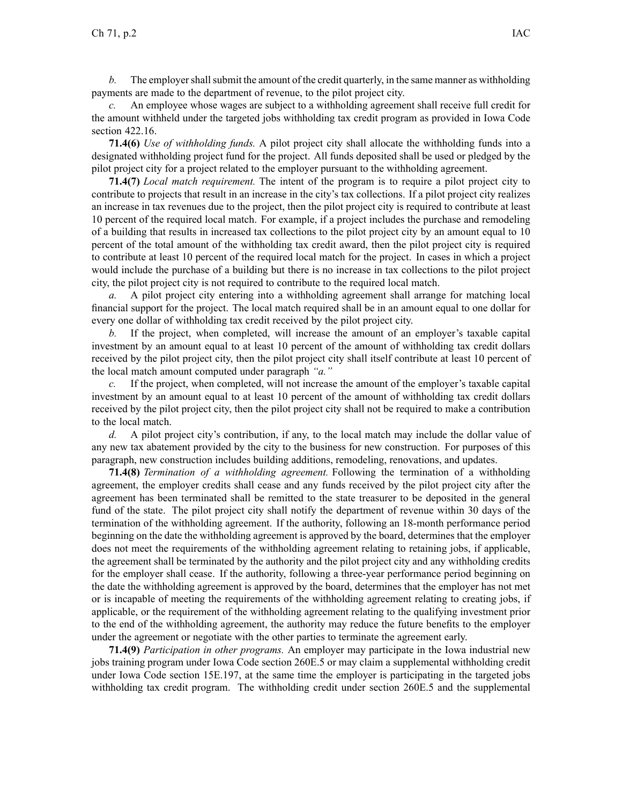*b.* The employer shall submit the amount of the credit quarterly, in the same manner as withholding payments are made to the department of revenue, to the pilot project city.

An employee whose wages are subject to a withholding agreement shall receive full credit for the amount withheld under the targeted jobs withholding tax credit program as provided in Iowa Code section [422.16](https://www.legis.iowa.gov/docs/ico/section/422.16.pdf).

**71.4(6)** *Use of withholding funds.* A pilot project city shall allocate the withholding funds into <sup>a</sup> designated withholding project fund for the project. All funds deposited shall be used or pledged by the pilot project city for <sup>a</sup> project related to the employer pursuan<sup>t</sup> to the withholding agreement.

**71.4(7)** *Local match requirement.* The intent of the program is to require <sup>a</sup> pilot project city to contribute to projects that result in an increase in the city's tax collections. If <sup>a</sup> pilot project city realizes an increase in tax revenues due to the project, then the pilot project city is required to contribute at least 10 percen<sup>t</sup> of the required local match. For example, if <sup>a</sup> project includes the purchase and remodeling of <sup>a</sup> building that results in increased tax collections to the pilot project city by an amount equal to 10 percen<sup>t</sup> of the total amount of the withholding tax credit award, then the pilot project city is required to contribute at least 10 percen<sup>t</sup> of the required local match for the project. In cases in which <sup>a</sup> project would include the purchase of <sup>a</sup> building but there is no increase in tax collections to the pilot project city, the pilot project city is not required to contribute to the required local match.

*a.* A pilot project city entering into <sup>a</sup> withholding agreemen<sup>t</sup> shall arrange for matching local financial suppor<sup>t</sup> for the project. The local match required shall be in an amount equal to one dollar for every one dollar of withholding tax credit received by the pilot project city.

*b.* If the project, when completed, will increase the amount of an employer's taxable capital investment by an amount equal to at least 10 percen<sup>t</sup> of the amount of withholding tax credit dollars received by the pilot project city, then the pilot project city shall itself contribute at least 10 percen<sup>t</sup> of the local match amount computed under paragraph *"a."*

*c.* If the project, when completed, will not increase the amount of the employer's taxable capital investment by an amount equal to at least 10 percen<sup>t</sup> of the amount of withholding tax credit dollars received by the pilot project city, then the pilot project city shall not be required to make <sup>a</sup> contribution to the local match.

*d.* A pilot project city's contribution, if any, to the local match may include the dollar value of any new tax abatement provided by the city to the business for new construction. For purposes of this paragraph, new construction includes building additions, remodeling, renovations, and updates.

**71.4(8)** *Termination of <sup>a</sup> withholding agreement.* Following the termination of <sup>a</sup> withholding agreement, the employer credits shall cease and any funds received by the pilot project city after the agreemen<sup>t</sup> has been terminated shall be remitted to the state treasurer to be deposited in the general fund of the state. The pilot project city shall notify the department of revenue within 30 days of the termination of the withholding agreement. If the authority, following an 18-month performance period beginning on the date the withholding agreemen<sup>t</sup> is approved by the board, determines that the employer does not meet the requirements of the withholding agreement relating to retaining jobs, if applicable, the agreemen<sup>t</sup> shall be terminated by the authority and the pilot project city and any withholding credits for the employer shall cease. If the authority, following <sup>a</sup> three-year performance period beginning on the date the withholding agreemen<sup>t</sup> is approved by the board, determines that the employer has not met or is incapable of meeting the requirements of the withholding agreemen<sup>t</sup> relating to creating jobs, if applicable, or the requirement of the withholding agreemen<sup>t</sup> relating to the qualifying investment prior to the end of the withholding agreement, the authority may reduce the future benefits to the employer under the agreemen<sup>t</sup> or negotiate with the other parties to terminate the agreemen<sup>t</sup> early.

**71.4(9)** *Participation in other programs.* An employer may participate in the Iowa industrial new jobs training program under Iowa Code section [260E.5](https://www.legis.iowa.gov/docs/ico/section/260E.5.pdf) or may claim <sup>a</sup> supplemental withholding credit under Iowa Code section [15E.197](https://www.legis.iowa.gov/docs/ico/section/15E.197.pdf), at the same time the employer is participating in the targeted jobs withholding tax credit program. The withholding credit under section [260E.5](https://www.legis.iowa.gov/docs/ico/section/260E.5.pdf) and the supplemental